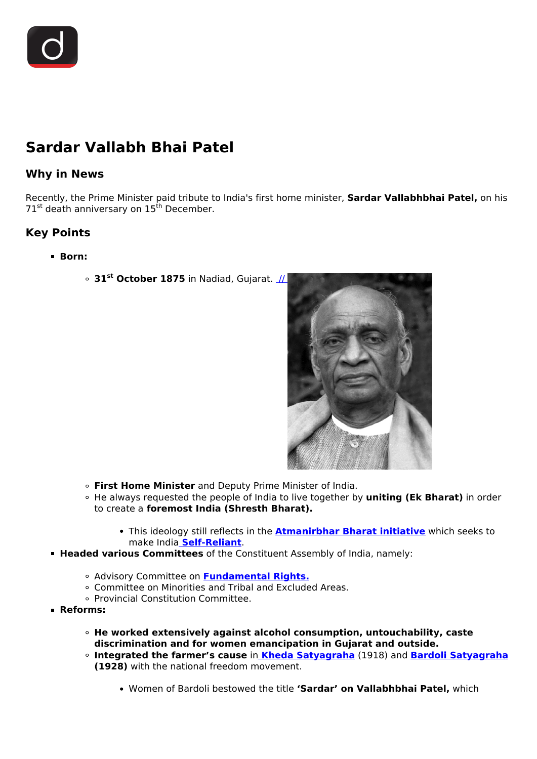## **Sardar Vallabh Bhai Patel**

## **Why in News**

Recently, the Prime Minister paid tribute to India's first home minister, **Sardar Vallabhbhai Patel,** on his  $71<sup>st</sup>$  death anniversary on  $15<sup>th</sup>$  December.

## **Key Points**

- **Born:**
	- **31st October 1875** in Nadiad, Gujarat. [//](https://www.drishtiias.com/images/uploads/1639654110_Sardar_Patel_drishti_ias_english.png)



- **First Home Minister** and Deputy Prime Minister of India.
- He always requested the people of India to live together by **uniting (Ek Bharat)** in order to create a **foremost India (Shresth Bharat).**
	- This ideology still reflects in the **[Atmanirbhar Bharat initiative](/daily-updates/daily-news-analysis/atmanirbhar-bharat-concerns)** which seeks to make India **[Self-Reliant](/daily-updates/daily-news-editorials/in-pursuance-of-self-reliance)**.
- **Headed various Committees** of the Constituent Assembly of India, namely:
	- Advisory Committee on **[Fundamental Rights.](/to-the-points/Paper2/fundamental-rights-part-1)**
	- Committee on Minorities and Tribal and Excluded Areas.
	- Provincial Constitution Committee.
- **Reforms:**
	- **He worked extensively against alcohol consumption, untouchability, caste discrimination and for women emancipation in Gujarat and outside.**
	- **Integrated the farmer's cause** in **[Kheda Satyagraha](/mains-practice-question/question-663)** (1918) and **[Bardoli Satyagraha](/mains-practice-question/question-663) (1928)** with the national freedom movement.
		- Women of Bardoli bestowed the title **'Sardar' on Vallabhbhai Patel,** which